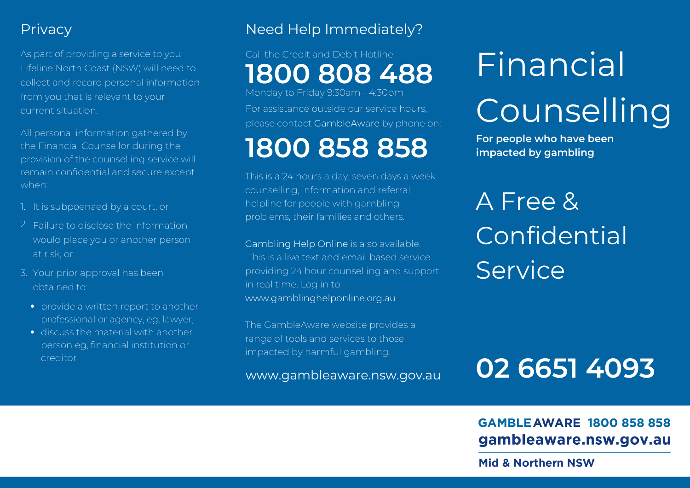### **Privacy**

As part of providing a service to you, Lifeline North Coast (NSW) will need to collect and record personal information from you that is relevant to your current situation.

All personal information gathered by the Financial Counsellor during the provision of the counselling service will remain confidential and secure except when:

- 1. It is subpoenaed by a court, or
- 2. Failure to disclose the information would place you or another person at risk, or
- 3. Your prior approval has been obtained to:
	- provide a written report to another professional or agency, eg. lawyer,
	- discuss the material with another person eg, financial institution or creditor

# Need Help Immediately?

# Call the Credit and Debit Hotline **1800 808 488**

For assistance outside our service hours, Monday to Friday 9:30am - 4:30pm

please contact GambleAware by phone on:

# **1800 858 858**

This is a 24 hours a day, seven days a week counselling, information and referral helpline for people with gambling problems, their families and others.

Gambling Help Online is also available. This is a live text and email based service providing 24 hour counselling and support in real time. Log in to: www.gamblinghelponline.org.au

The GambleAware website provides a range of tools and services to those impacted by harmful gambling.

www.gambleaware.nsw.gov.au

# Financial

# **Counselling**

**For people who have been impacted by gambling**

A Free & Confidential **Service** 

# **02 6651 4093**

#### **GAMBLE AWARE 1800 858 858** gambleaware.nsw.gov.au

**Mid & Northern NSW**